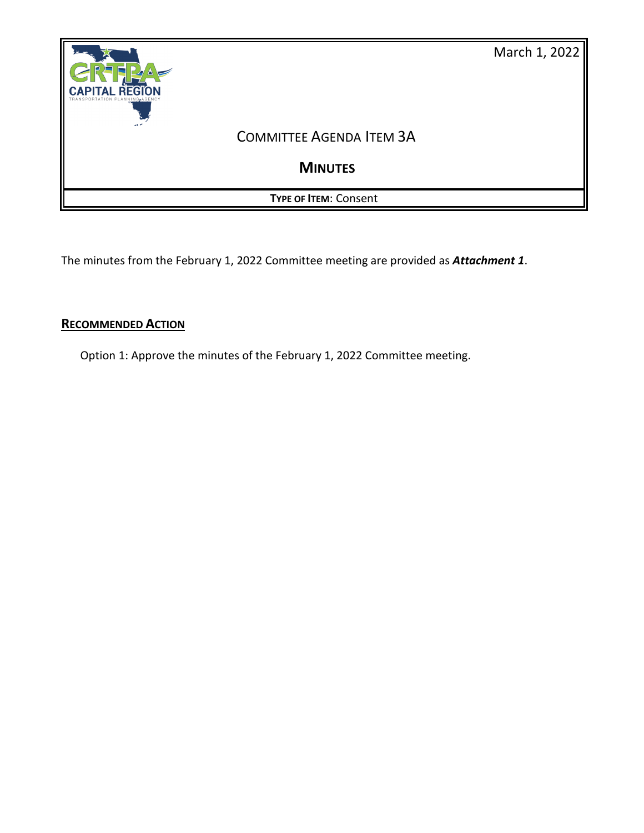

The minutes from the February 1, 2022 Committee meeting are provided as *Attachment 1*.

# **RECOMMENDED ACTION**

Option 1: Approve the minutes of the February 1, 2022 Committee meeting.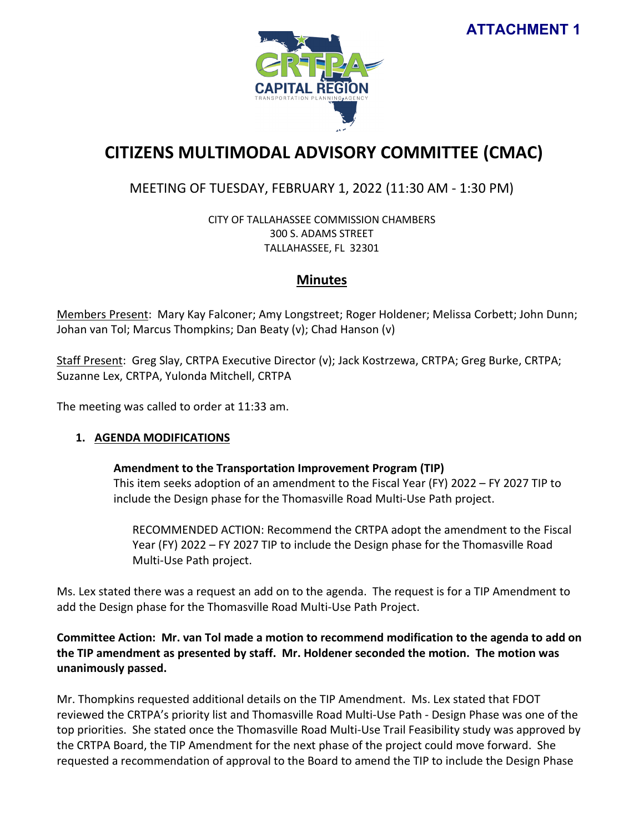# **ATTACHMENT 1**



# **CITIZENS MULTIMODAL ADVISORY COMMITTEE (CMAC)**

# MEETING OF TUESDAY, FEBRUARY 1, 2022 (11:30 AM - 1:30 PM)

CITY OF TALLAHASSEE COMMISSION CHAMBERS 300 S. ADAMS STREET TALLAHASSEE, FL 32301

## **Minutes**

Members Present: Mary Kay Falconer; Amy Longstreet; Roger Holdener; Melissa Corbett; John Dunn; Johan van Tol; Marcus Thompkins; Dan Beaty (v); Chad Hanson (v)

Staff Present: Greg Slay, CRTPA Executive Director (v); Jack Kostrzewa, CRTPA; Greg Burke, CRTPA; Suzanne Lex, CRTPA, Yulonda Mitchell, CRTPA

The meeting was called to order at 11:33 am.

## **1. AGENDA MODIFICATIONS**

**Amendment to the Transportation Improvement Program (TIP)** This item seeks adoption of an amendment to the Fiscal Year (FY) 2022 – FY 2027 TIP to include the Design phase for the Thomasville Road Multi-Use Path project.

RECOMMENDED ACTION: Recommend the CRTPA adopt the amendment to the Fiscal Year (FY) 2022 – FY 2027 TIP to include the Design phase for the Thomasville Road Multi-Use Path project.

Ms. Lex stated there was a request an add on to the agenda. The request is for a TIP Amendment to add the Design phase for the Thomasville Road Multi-Use Path Project.

## **Committee Action: Mr. van Tol made a motion to recommend modification to the agenda to add on the TIP amendment as presented by staff. Mr. Holdener seconded the motion. The motion was unanimously passed.**

Mr. Thompkins requested additional details on the TIP Amendment. Ms. Lex stated that FDOT reviewed the CRTPA's priority list and Thomasville Road Multi-Use Path - Design Phase was one of the top priorities. She stated once the Thomasville Road Multi-Use Trail Feasibility study was approved by the CRTPA Board, the TIP Amendment for the next phase of the project could move forward. She requested a recommendation of approval to the Board to amend the TIP to include the Design Phase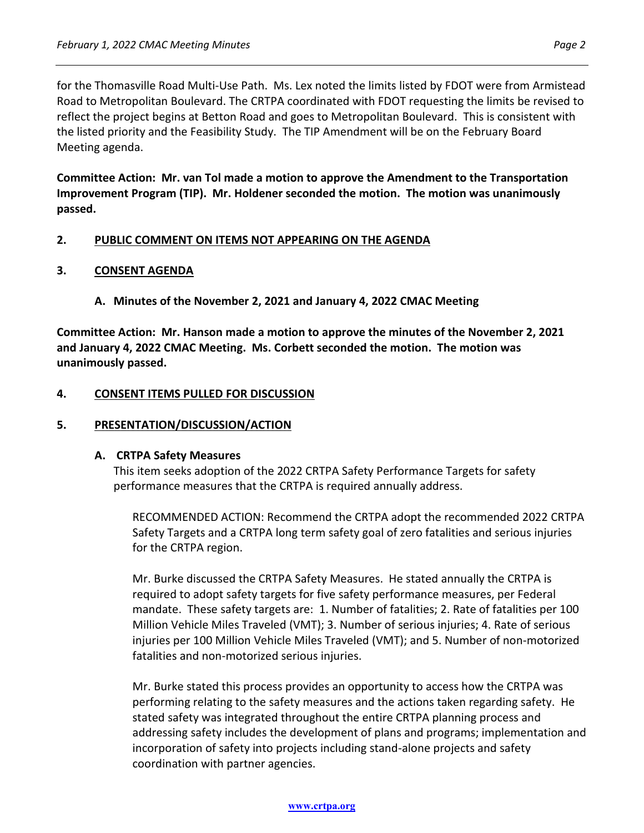for the Thomasville Road Multi-Use Path. Ms. Lex noted the limits listed by FDOT were from Armistead Road to Metropolitan Boulevard. The CRTPA coordinated with FDOT requesting the limits be revised to reflect the project begins at Betton Road and goes to Metropolitan Boulevard. This is consistent with the listed priority and the Feasibility Study. The TIP Amendment will be on the February Board Meeting agenda.

**Committee Action: Mr. van Tol made a motion to approve the Amendment to the Transportation Improvement Program (TIP). Mr. Holdener seconded the motion. The motion was unanimously passed.** 

## **2. PUBLIC COMMENT ON ITEMS NOT APPEARING ON THE AGENDA**

#### **3. CONSENT AGENDA**

**A. Minutes of the November 2, 2021 and January 4, 2022 CMAC Meeting**

**Committee Action: Mr. Hanson made a motion to approve the minutes of the November 2, 2021 and January 4, 2022 CMAC Meeting. Ms. Corbett seconded the motion. The motion was unanimously passed.** 

#### **4. CONSENT ITEMS PULLED FOR DISCUSSION**

#### **5. PRESENTATION/DISCUSSION/ACTION**

#### **A. CRTPA Safety Measures**

This item seeks adoption of the 2022 CRTPA Safety Performance Targets for safety performance measures that the CRTPA is required annually address.

RECOMMENDED ACTION: Recommend the CRTPA adopt the recommended 2022 CRTPA Safety Targets and a CRTPA long term safety goal of zero fatalities and serious injuries for the CRTPA region.

Mr. Burke discussed the CRTPA Safety Measures. He stated annually the CRTPA is required to adopt safety targets for five safety performance measures, per Federal mandate. These safety targets are: 1. Number of fatalities; 2. Rate of fatalities per 100 Million Vehicle Miles Traveled (VMT); 3. Number of serious injuries; 4. Rate of serious injuries per 100 Million Vehicle Miles Traveled (VMT); and 5. Number of non-motorized fatalities and non-motorized serious injuries.

Mr. Burke stated this process provides an opportunity to access how the CRTPA was performing relating to the safety measures and the actions taken regarding safety. He stated safety was integrated throughout the entire CRTPA planning process and addressing safety includes the development of plans and programs; implementation and incorporation of safety into projects including stand-alone projects and safety coordination with partner agencies.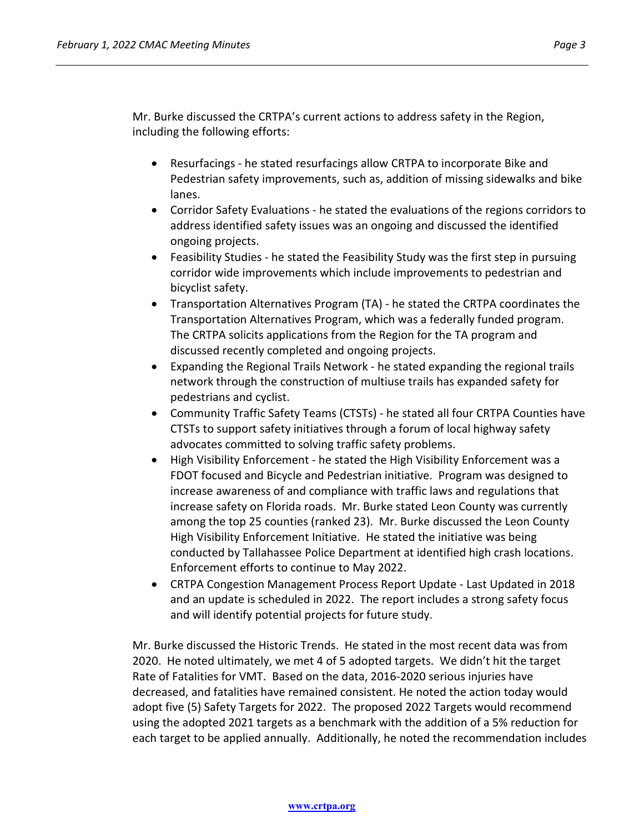Mr. Burke discussed the CRTPA's current actions to address safety in the Region, including the following efforts:

- Resurfacings he stated resurfacings allow CRTPA to incorporate Bike and Pedestrian safety improvements, such as, addition of missing sidewalks and bike lanes.
- Corridor Safety Evaluations he stated the evaluations of the regions corridors to address identified safety issues was an ongoing and discussed the identified ongoing projects.
- Feasibility Studies he stated the Feasibility Study was the first step in pursuing corridor wide improvements which include improvements to pedestrian and bicyclist safety.
- Transportation Alternatives Program (TA) he stated the CRTPA coordinates the Transportation Alternatives Program, which was a federally funded program. The CRTPA solicits applications from the Region for the TA program and discussed recently completed and ongoing projects.
- Expanding the Regional Trails Network he stated expanding the regional trails network through the construction of multiuse trails has expanded safety for pedestrians and cyclist.
- Community Traffic Safety Teams (CTSTs) he stated all four CRTPA Counties have CTSTs to support safety initiatives through a forum of local highway safety advocates committed to solving traffic safety problems.
- High Visibility Enforcement he stated the High Visibility Enforcement was a FDOT focused and Bicycle and Pedestrian initiative. Program was designed to increase awareness of and compliance with traffic laws and regulations that increase safety on Florida roads. Mr. Burke stated Leon County was currently among the top 25 counties (ranked 23). Mr. Burke discussed the Leon County High Visibility Enforcement Initiative. He stated the initiative was being conducted by Tallahassee Police Department at identified high crash locations. Enforcement efforts to continue to May 2022.
- CRTPA Congestion Management Process Report Update Last Updated in 2018 and an update is scheduled in 2022. The report includes a strong safety focus and will identify potential projects for future study.

Mr. Burke discussed the Historic Trends. He stated in the most recent data was from 2020. He noted ultimately, we met 4 of 5 adopted targets. We didn't hit the target Rate of Fatalities for VMT. Based on the data, 2016-2020 serious injuries have decreased, and fatalities have remained consistent. He noted the action today would adopt five (5) Safety Targets for 2022. The proposed 2022 Targets would recommend using the adopted 2021 targets as a benchmark with the addition of a 5% reduction for each target to be applied annually. Additionally, he noted the recommendation includes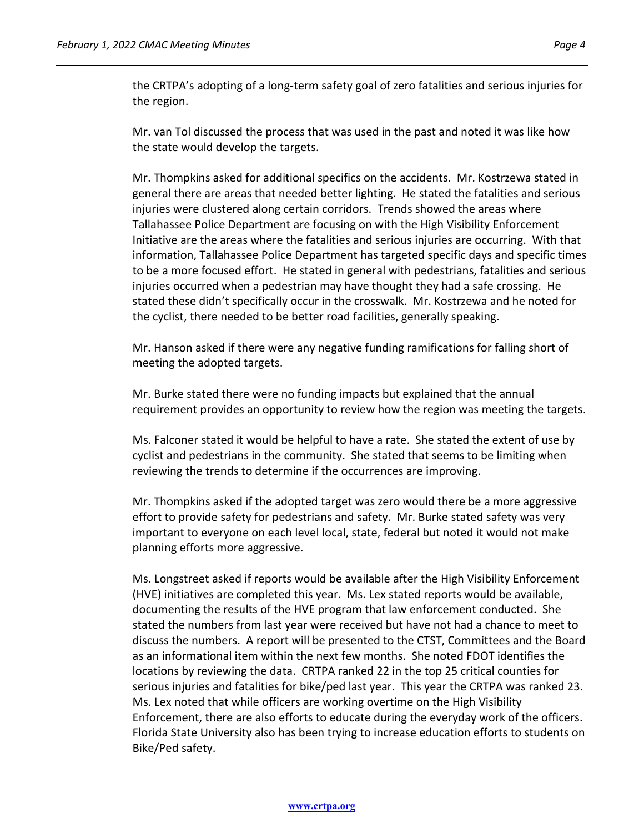the CRTPA's adopting of a long-term safety goal of zero fatalities and serious injuries for the region.

Mr. van Tol discussed the process that was used in the past and noted it was like how the state would develop the targets.

Mr. Thompkins asked for additional specifics on the accidents. Mr. Kostrzewa stated in general there are areas that needed better lighting. He stated the fatalities and serious injuries were clustered along certain corridors. Trends showed the areas where Tallahassee Police Department are focusing on with the High Visibility Enforcement Initiative are the areas where the fatalities and serious injuries are occurring. With that information, Tallahassee Police Department has targeted specific days and specific times to be a more focused effort. He stated in general with pedestrians, fatalities and serious injuries occurred when a pedestrian may have thought they had a safe crossing. He stated these didn't specifically occur in the crosswalk. Mr. Kostrzewa and he noted for the cyclist, there needed to be better road facilities, generally speaking.

Mr. Hanson asked if there were any negative funding ramifications for falling short of meeting the adopted targets.

Mr. Burke stated there were no funding impacts but explained that the annual requirement provides an opportunity to review how the region was meeting the targets.

Ms. Falconer stated it would be helpful to have a rate. She stated the extent of use by cyclist and pedestrians in the community. She stated that seems to be limiting when reviewing the trends to determine if the occurrences are improving.

Mr. Thompkins asked if the adopted target was zero would there be a more aggressive effort to provide safety for pedestrians and safety. Mr. Burke stated safety was very important to everyone on each level local, state, federal but noted it would not make planning efforts more aggressive.

Ms. Longstreet asked if reports would be available after the High Visibility Enforcement (HVE) initiatives are completed this year. Ms. Lex stated reports would be available, documenting the results of the HVE program that law enforcement conducted. She stated the numbers from last year were received but have not had a chance to meet to discuss the numbers. A report will be presented to the CTST, Committees and the Board as an informational item within the next few months. She noted FDOT identifies the locations by reviewing the data. CRTPA ranked 22 in the top 25 critical counties for serious injuries and fatalities for bike/ped last year. This year the CRTPA was ranked 23. Ms. Lex noted that while officers are working overtime on the High Visibility Enforcement, there are also efforts to educate during the everyday work of the officers. Florida State University also has been trying to increase education efforts to students on Bike/Ped safety.